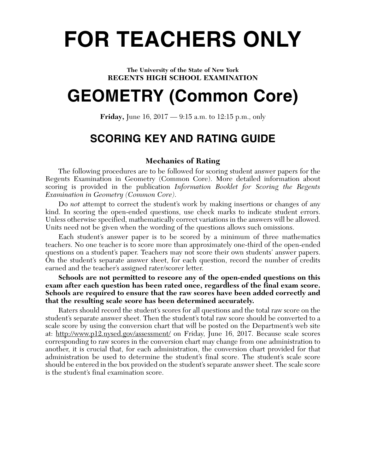# **FOR TEACHERS ONLY**

#### **The University of the State of New York REGENTS HIGH SCHOOL EXAMINATION**

## **GEOMETRY (Common Core)**

**Friday,** June 16, 2017 — 9:15 a.m. to 12:15 p.m., only

## **SCORING KEY AND RATING GUIDE**

## **Mechanics of Rating**

The following procedures are to be followed for scoring student answer papers for the Regents Examination in Geometry (Common Core). More detailed information about scoring is provided in the publication *Information Booklet for Scoring the Regents Examination in Geometry (Common Core)*.

Do *not* attempt to correct the student's work by making insertions or changes of any kind. In scoring the open-ended questions, use check marks to indicate student errors. Unless otherwise specified, mathematically correct variations in the answers will be allowed. Units need not be given when the wording of the questions allows such omissions.

Each student's answer paper is to be scored by a minimum of three mathematics teachers. No one teacher is to score more than approximately one-third of the open-ended questions on a student's paper. Teachers may not score their own students' answer papers. On the student's separate answer sheet, for each question, record the number of credits earned and the teacher's assigned rater/scorer letter.

**Schools are not permitted to rescore any of the open-ended questions on this exam after each question has been rated once, regardless of the final exam score. Schools are required to ensure that the raw scores have been added correctly and that the resulting scale score has been determined accurately.**

Raters should record the student's scores for all questions and the total raw score on the student's separate answer sheet. Then the student's total raw score should be converted to a scale score by using the conversion chart that will be posted on the Department's web site at: http://www.p12.nysed.gov/assessment/ on Friday, June 16, 2017. Because scale scores corresponding to raw scores in the conversion chart may change from one administration to another, it is crucial that, for each administration, the conversion chart provided for that administration be used to determine the student's final score. The student's scale score should be entered in the box provided on the student's separate answer sheet. The scale score is the student's final examination score.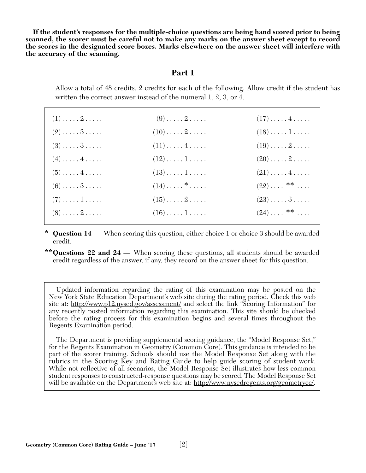**If the student's responses for the multiple-choice questions are being hand scored prior to being scanned, the scorer must be careful not to make any marks on the answer sheet except to record the scores in the designated score boxes. Marks elsewhere on the answer sheet will interfere with the accuracy of the scanning.**

### **Part I**

Allow a total of 48 credits, 2 credits for each of the following. Allow credit if the student has written the correct answer instead of the numeral 1, 2, 3, or 4.

| $(1) \ldots \ldots 2 \ldots$ | $(9) \ldots \ldots 2 \ldots$        | $(17)\ldots(4\ldots)$         |
|------------------------------|-------------------------------------|-------------------------------|
| $(2) \ldots \ldots 3 \ldots$ | $(10)\ldots \ldots 2 \ldots \ldots$ | $(18)\ldots\ldots\ldots$      |
| $(3) \ldots \ldots 3 \ldots$ | $(11)\ldots(4\ldots).$              | $(19)\ldots 2 \ldots$         |
| $(4) \ldots \ldots 4 \ldots$ | $(12)\ldots\ldots\,1\ldots\ldots$   | $(20) \ldots \ldots 2 \ldots$ |
| $(5) \ldots \ldots 4 \ldots$ | $(13)\ldots\ldots\ldots$            | $(21)\ldots 4 \ldots$         |
| $(6) \ldots \ldots 3 \ldots$ | $(14)\ldots$ . $\cdot \cdot \cdot$  | $(22)\ldots$ **               |
| $(7) \ldots \ldots 1 \ldots$ | $(15)\ldots \ldots 2 \ldots \ldots$ | $(23) \ldots 3 \ldots$        |
| $(8) \ldots \ldots 2 \ldots$ | $(16)\ldots\ldots\ldots$            | $(24) \ldots$ **              |
|                              |                                     |                               |

**\* Question 14** — When scoring this question, either choice 1 or choice 3 should be awarded credit.

**\*\*Questions 22 and 24** — When scoring these questions, all students should be awarded credit regardless of the answer, if any, they record on the answer sheet for this question.

Updated information regarding the rating of this examination may be posted on the New York State Education Department's web site during the rating period. Check this web site at: http://www.p12.nysed.gov/assessment/ and select the link "Scoring Information" for any recently posted information regarding this examination. This site should be checked before the rating process for this examination begins and several times throughout the Regents Examination period.

The Department is providing supplemental scoring guidance, the "Model Response Set," for the Regents Examination in Geometry (Common Core). This guidance is intended to be part of the scorer training. Schools should use the Model Response Set along with the rubrics in the Scoring Key and Rating Guide to help guide scoring of student work. While not reflective of all scenarios, the Model Response Set illustrates how less common student responses to constructed-response questions may be scored. The Model Response Set will be available on the Department's web site at: http://www.nysedregents.org/geometrycc/.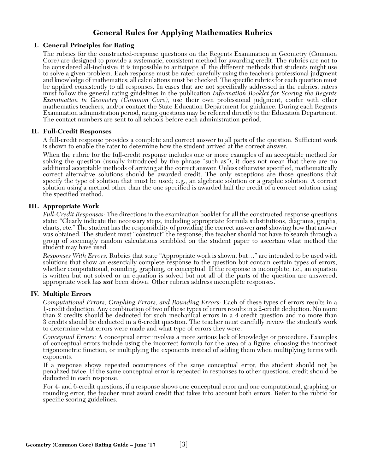## **General Rules for Applying Mathematics Rubrics**

#### **I. General Principles for Rating**

The rubrics for the constructed-response questions on the Regents Examination in Geometry (Common Core) are designed to provide a systematic, consistent method for awarding credit. The rubrics are not to be considered all-inclusive; it is impossible to anticipate all the different methods that students might use to solve a given problem. Each response must be rated carefully using the teacher's professional judgment and knowledge of mathematics; all calculations must be checked. The specific rubrics for each question must be applied consistently to all responses. In cases that are not specifically addressed in the rubrics, raters must follow the general rating guidelines in the publication *Information Booklet for Scoring the Regents Examination in Geometry (Common Core)*, use their own professional judgment, confer with other mathematics teachers, and/or contact the State Education Department for guidance. During each Regents Examination administration period, rating questions may be referred directly to the Education Department. The contact numbers are sent to all schools before each administration period.

#### **II. Full-Credit Responses**

A full-credit response provides a complete and correct answer to all parts of the question. Sufficient work is shown to enable the rater to determine how the student arrived at the correct answer.

When the rubric for the full-credit response includes one or more examples of an acceptable method for solving the question (usually introduced by the phrase "such as"), it does not mean that there are no additional acceptable methods of arriving at the correct answer. Unless otherwise specified, mathematically correct alternative solutions should be awarded credit. The only exceptions are those questions that specify the type of solution that must be used; e.g., an algebraic solution or a graphic solution. A correct solution using a method other than the one specified is awarded half the credit of a correct solution using the specified method.

#### **III. Appropriate Work**

*Full-Credit Responses:* The directions in the examination booklet for all the constructed-response questions state: "Clearly indicate the necessary steps, including appropriate formula substitutions, diagrams, graphs, charts, etc." The student has the responsibility of providing the correct answer *and* showing how that answer was obtained. The student must "construct" the response; the teacher should not have to search through a group of seemingly random calculations scribbled on the student paper to ascertain what method the student may have used.

*Responses With Errors:* Rubrics that state "Appropriate work is shown, but…" are intended to be used with solutions that show an essentially complete response to the question but contain certain types of errors, whether computational, rounding, graphing, or conceptual. If the response is incomplete; i.e., an equation is written but not solved or an equation is solved but not all of the parts of the question are answered, appropriate work has *not* been shown. Other rubrics address incomplete responses.

#### **IV. Multiple Errors**

*Computational Errors, Graphing Errors, and Rounding Errors:* Each of these types of errors results in a 1-credit deduction. Any combination of two of these types of errors results in a 2-credit deduction. No more than 2 credits should be deducted for such mechanical errors in a 4-credit question and no more than 3 credits should be deducted in a 6-credit question. The teacher must carefully review the student's work to determine what errors were made and what type of errors they were.

*Conceptual Errors:* A conceptual error involves a more serious lack of knowledge or procedure. Examples of conceptual errors include using the incorrect formula for the area of a figure, choosing the incorrect trigonometric function, or multiplying the exponents instead of adding them when multiplying terms with exponents.

If a response shows repeated occurrences of the same conceptual error, the student should not be penalized twice. If the same conceptual error is repeated in responses to other questions, credit should be deducted in each response.

For 4- and 6-credit questions, if a response shows one conceptual error and one computational, graphing, or rounding error, the teacher must award credit that takes into account both errors. Refer to the rubric for specific scoring guidelines.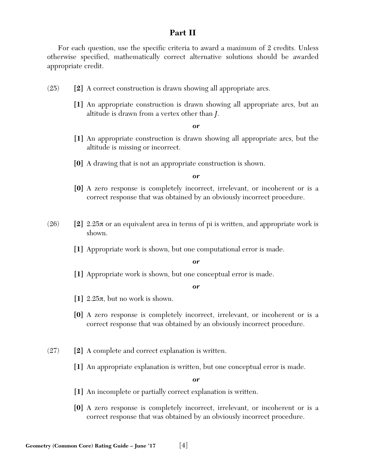## **Part II**

For each question, use the specific criteria to award a maximum of 2 credits. Unless otherwise specified, mathematically correct alternative solutions should be awarded appropriate credit.

- (25) **[2]** A correct construction is drawn showing all appropriate arcs.
	- **[1]** An appropriate construction is drawn showing all appropriate arcs, but an altitude is drawn from a vertex other than *J*.

*or*

- **[1]** An appropriate construction is drawn showing all appropriate arcs, but the altitude is missing or incorrect.
- **[0]** A drawing that is not an appropriate construction is shown.

*or*

- **[0]** A zero response is completely incorrect, irrelevant, or incoherent or is a correct response that was obtained by an obviously incorrect procedure.
- (26) **[2]** 2.25π or an equivalent area in terms of pi is written, and appropriate work is shown.
	- **[1]** Appropriate work is shown, but one computational error is made.

*or*

**[1]** Appropriate work is shown, but one conceptual error is made.

*or*

- **[1]** 2.25π, but no work is shown.
- **[0]** A zero response is completely incorrect, irrelevant, or incoherent or is a correct response that was obtained by an obviously incorrect procedure.
- (27) **[2]** A complete and correct explanation is written.
	- **[1]** An appropriate explanation is written, but one conceptual error is made.

- **[1]** An incomplete or partially correct explanation is written.
- **[0]** A zero response is completely incorrect, irrelevant, or incoherent or is a correct response that was obtained by an obviously incorrect procedure.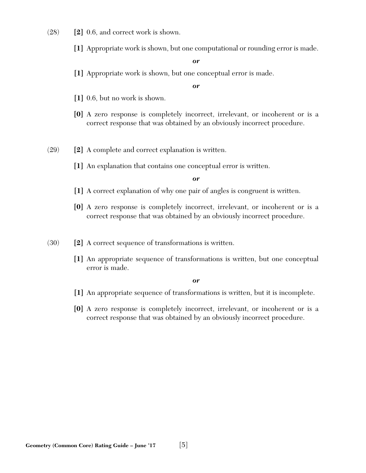- (28) **[2]** 0.6, and correct work is shown.
	- **[1]** Appropriate work is shown, but one computational or rounding error is made.

**[1]** Appropriate work is shown, but one conceptual error is made.

*or*

- **[1]** 0.6, but no work is shown.
- **[0]** A zero response is completely incorrect, irrelevant, or incoherent or is a correct response that was obtained by an obviously incorrect procedure.
- (29) **[2]** A complete and correct explanation is written.
	- **[1]** An explanation that contains one conceptual error is written.

*or*

- **[1]** A correct explanation of why one pair of angles is congruent is written.
- **[0]** A zero response is completely incorrect, irrelevant, or incoherent or is a correct response that was obtained by an obviously incorrect procedure.
- (30) **[2]** A correct sequence of transformations is written.
	- **[1]** An appropriate sequence of transformations is written, but one conceptual error is made.

- **[1]** An appropriate sequence of transformations is written, but it is incomplete.
- **[0]** A zero response is completely incorrect, irrelevant, or incoherent or is a correct response that was obtained by an obviously incorrect procedure.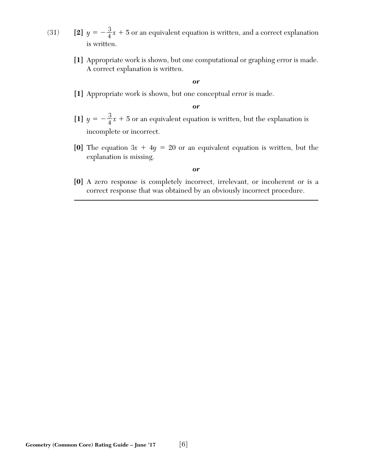- (31) **[2]**  $y = -\frac{3}{4}x + 5$  or an equivalent equation is written, and a correct explanation is written.
	- **[1]** Appropriate work is shown, but one computational or graphing error is made. A correct explanation is written.

**[1]** Appropriate work is shown, but one conceptual error is made.

*or*

- [1]  $y = -\frac{3}{4}x + 5$  or an equivalent equation is written, but the explanation is incomplete or incorrect.
- **[0]** The equation  $3x + 4y = 20$  or an equivalent equation is written, but the explanation is missing.

#### *or*

**[0]** A zero response is completely incorrect, irrelevant, or incoherent or is a correct response that was obtained by an obviously incorrect procedure.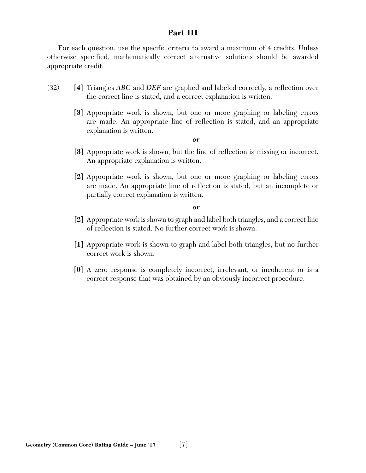## **Part III**

For each question, use the specific criteria to award a maximum of 4 credits. Unless otherwise specified, mathematically correct alternative solutions should be awarded appropriate credit.

- (32) **[4]** Triangles *ABC* and *DEF* are graphed and labeled correctly, a reflection over the correct line is stated, and a correct explanation is written.
	- **[3]** Appropriate work is shown, but one or more graphing or labeling errors are made. An appropriate line of reflection is stated, and an appropriate explanation is written.

#### *or*

- **[3]** Appropriate work is shown, but the line of reflection is missing or incorrect. An appropriate explanation is written.
- **[2]** Appropriate work is shown, but one or more graphing or labeling errors are made. An appropriate line of reflection is stated, but an incomplete or partially correct explanation is written.

- **[2]** Appropriate work is shown to graph and label both triangles, and a correct line of reflection is stated. No further correct work is shown.
- **[1]** Appropriate work is shown to graph and label both triangles, but no further correct work is shown.
- **[0]** A zero response is completely incorrect, irrelevant, or incoherent or is a correct response that was obtained by an obviously incorrect procedure.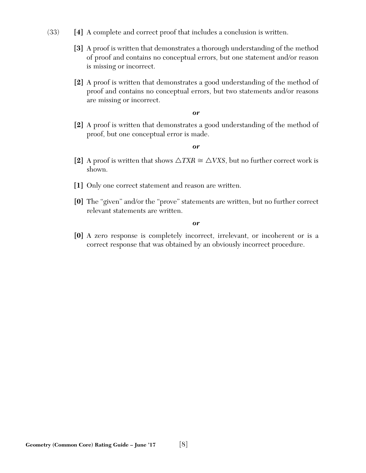- (33) **[4]** A complete and correct proof that includes a conclusion is written.
	- **[3]** A proof is written that demonstrates a thorough understanding of the method of proof and contains no conceptual errors, but one statement and/or reason is missing or incorrect.
	- **[2]** A proof is written that demonstrates a good understanding of the method of proof and contains no conceptual errors, but two statements and/or reasons are missing or incorrect.

**[2]** A proof is written that demonstrates a good understanding of the method of proof, but one conceptual error is made.

#### *or*

- [2] A proof is written that shows  $\triangle TXR \cong \triangle VXS$ , but no further correct work is shown.
- **[1]** Only one correct statement and reason are written.
- **[0]** The "given" and/or the "prove" statements are written, but no further correct relevant statements are written.

*or*

**[0]** A zero response is completely incorrect, irrelevant, or incoherent or is a correct response that was obtained by an obviously incorrect procedure.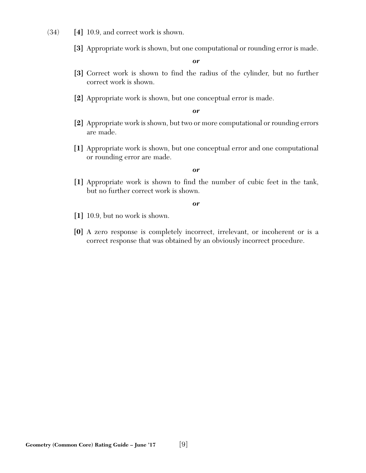- (34) **[4]** 10.9, and correct work is shown.
	- **[3]** Appropriate work is shown, but one computational or rounding error is made.

- **[3]** Correct work is shown to find the radius of the cylinder, but no further correct work is shown.
- **[2]** Appropriate work is shown, but one conceptual error is made.

#### *or*

- **[2]** Appropriate work is shown, but two or more computational or rounding errors are made.
- **[1]** Appropriate work is shown, but one conceptual error and one computational or rounding error are made.

*or*

**[1]** Appropriate work is shown to find the number of cubic feet in the tank, but no further correct work is shown.

- **[1]** 10.9, but no work is shown.
- **[0]** A zero response is completely incorrect, irrelevant, or incoherent or is a correct response that was obtained by an obviously incorrect procedure.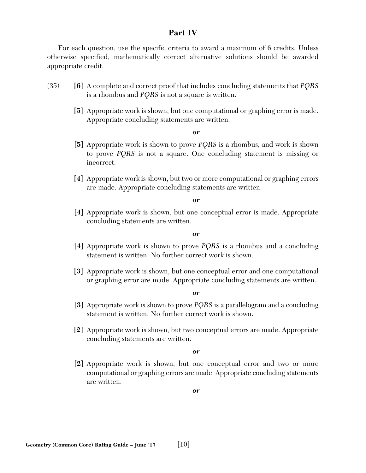## **Part IV**

For each question, use the specific criteria to award a maximum of 6 credits. Unless otherwise specified, mathematically correct alternative solutions should be awarded appropriate credit.

- (35) **[6]** A complete and correct proof that includes concluding statements that *PQRS* is a rhombus and *PQRS* is not a square is written.
	- **[5]** Appropriate work is shown, but one computational or graphing error is made. Appropriate concluding statements are written.

#### *or*

- **[5]** Appropriate work is shown to prove *PQRS* is a rhombus, and work is shown to prove *PQRS* is not a square. One concluding statement is missing or incorrect.
- **[4]** Appropriate work is shown, but two or more computational or graphing errors are made. Appropriate concluding statements are written.

*or*

**[4]** Appropriate work is shown, but one conceptual error is made. Appropriate concluding statements are written.

*or*

- **[4]** Appropriate work is shown to prove *PQRS* is a rhombus and a concluding statement is written. No further correct work is shown.
- **[3]** Appropriate work is shown, but one conceptual error and one computational or graphing error are made. Appropriate concluding statements are written.

*or*

- **[3]** Appropriate work is shown to prove *PQRS* is a parallelogram and a concluding statement is written. No further correct work is shown.
- **[2]** Appropriate work is shown, but two conceptual errors are made. Appropriate concluding statements are written.

*or*

**[2]** Appropriate work is shown, but one conceptual error and two or more computational or graphing errors are made. Appropriate concluding statements are written.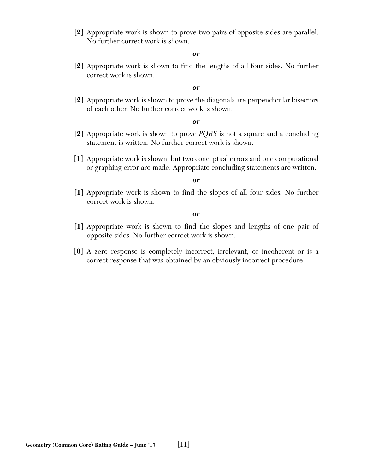**[2]** Appropriate work is shown to prove two pairs of opposite sides are parallel. No further correct work is shown.

#### *or*

**[2]** Appropriate work is shown to find the lengths of all four sides. No further correct work is shown.

#### *or*

**[2]** Appropriate work is shown to prove the diagonals are perpendicular bisectors of each other. No further correct work is shown.

#### *or*

- **[2]** Appropriate work is shown to prove *PQRS* is not a square and a concluding statement is written. No further correct work is shown.
- **[1]** Appropriate work is shown, but two conceptual errors and one computational or graphing error are made. Appropriate concluding statements are written.

#### *or*

**[1]** Appropriate work is shown to find the slopes of all four sides. No further correct work is shown.

- **[1]** Appropriate work is shown to find the slopes and lengths of one pair of opposite sides. No further correct work is shown.
- **[0]** A zero response is completely incorrect, irrelevant, or incoherent or is a correct response that was obtained by an obviously incorrect procedure.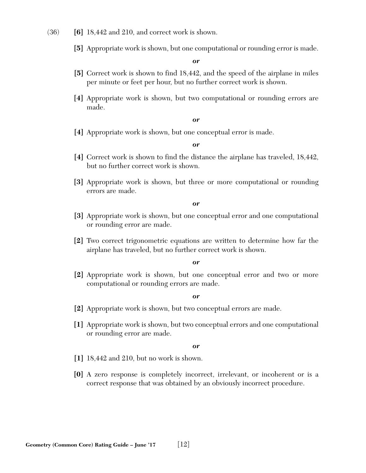- (36) **[6]** 18,442 and 210, and correct work is shown.
	- **[5]** Appropriate work is shown, but one computational or rounding error is made.

- **[5]** Correct work is shown to find 18,442, and the speed of the airplane in miles per minute or feet per hour, but no further correct work is shown.
- **[4]** Appropriate work is shown, but two computational or rounding errors are made.

#### *or*

**[4]** Appropriate work is shown, but one conceptual error is made.

#### *or*

- **[4]** Correct work is shown to find the distance the airplane has traveled, 18,442, but no further correct work is shown.
- **[3]** Appropriate work is shown, but three or more computational or rounding errors are made.

#### *or*

- **[3]** Appropriate work is shown, but one conceptual error and one computational or rounding error are made.
- **[2]** Two correct trigonometric equations are written to determine how far the airplane has traveled, but no further correct work is shown.

#### *or*

**[2]** Appropriate work is shown, but one conceptual error and two or more computational or rounding errors are made.

#### *or*

- **[2]** Appropriate work is shown, but two conceptual errors are made.
- **[1]** Appropriate work is shown, but two conceptual errors and one computational or rounding error are made.

- **[1]** 18,442 and 210, but no work is shown.
- **[0]** A zero response is completely incorrect, irrelevant, or incoherent or is a correct response that was obtained by an obviously incorrect procedure.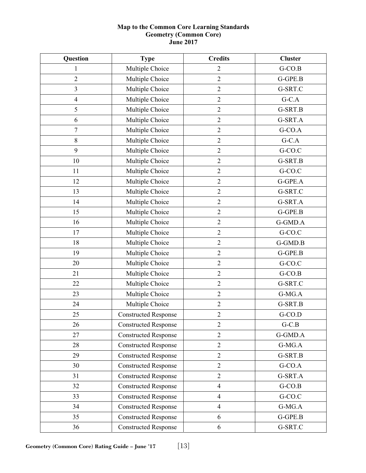#### **Map to the Common Core Learning Standards Geometry (Common Core) June 2017**

| Question         | <b>Type</b>                 | <b>Credits</b> | <b>Cluster</b> |
|------------------|-----------------------------|----------------|----------------|
| 1                | Multiple Choice             | $\overline{2}$ | $G-CO.B$       |
| $\overline{2}$   | Multiple Choice             | $\overline{2}$ | G-GPE.B        |
| 3                | Multiple Choice             | $\mathfrak{2}$ | G-SRT.C        |
| $\overline{4}$   | Multiple Choice             | $\overline{2}$ | $G-C.A$        |
| 5                | Multiple Choice             | $\mathfrak{2}$ | G-SRT.B        |
| 6                | Multiple Choice             | $\overline{2}$ | G-SRT.A        |
| $\boldsymbol{7}$ | Multiple Choice             | $\sqrt{2}$     | G-CO.A         |
| $\,8\,$          | Multiple Choice             | $\overline{2}$ | $G-C.A$        |
| 9                | Multiple Choice             | $\overline{2}$ | G-CO.C         |
| 10               | Multiple Choice             | $\overline{2}$ | G-SRT.B        |
| 11               | Multiple Choice             | $\overline{2}$ | G-CO.C         |
| 12               | Multiple Choice             | $\overline{2}$ | G-GPE.A        |
| 13               | Multiple Choice             | $\overline{2}$ | G-SRT.C        |
| 14               | Multiple Choice             | $\sqrt{2}$     | G-SRT.A        |
| 15               | Multiple Choice             | $\overline{2}$ | G-GPE.B        |
| 16               | Multiple Choice             | $\overline{2}$ | G-GMD.A        |
| 17               | Multiple Choice             | $\overline{2}$ | G-CO.C         |
| 18               | Multiple Choice             | $\overline{2}$ | G-GMD.B        |
| 19               | Multiple Choice             | $\sqrt{2}$     | G-GPE.B        |
| 20               | Multiple Choice             | $\overline{2}$ | G-CO.C         |
| 21               | Multiple Choice             | $\overline{2}$ | $G-CO.B$       |
| 22               | Multiple Choice             | $\overline{2}$ | G-SRT.C        |
| 23               | Multiple Choice             | $\overline{2}$ | $G-MG.A$       |
| 24               | Multiple Choice             | $\sqrt{2}$     | G-SRT.B        |
| 25               | <b>Constructed Response</b> | $\sqrt{2}$     | G-CO.D         |
| 26               | <b>Constructed Response</b> | $\overline{2}$ | $G-C.B$        |
| 27               | <b>Constructed Response</b> | $\overline{2}$ | G-GMD.A        |
| 28               | <b>Constructed Response</b> | $\overline{2}$ | G-MG.A         |
| 29               | <b>Constructed Response</b> | $\overline{2}$ | G-SRT.B        |
| 30               | <b>Constructed Response</b> | $\overline{2}$ | G-CO.A         |
| 31               | <b>Constructed Response</b> | $\overline{2}$ | G-SRT.A        |
| 32               | <b>Constructed Response</b> | $\overline{4}$ | $G-CO.B$       |
| 33               | <b>Constructed Response</b> | $\overline{4}$ | G-CO.C         |
| 34               | <b>Constructed Response</b> | $\overline{4}$ | $G-MG.A$       |
| 35               | <b>Constructed Response</b> | 6              | G-GPE.B        |
| 36               | <b>Constructed Response</b> | 6              | G-SRT.C        |